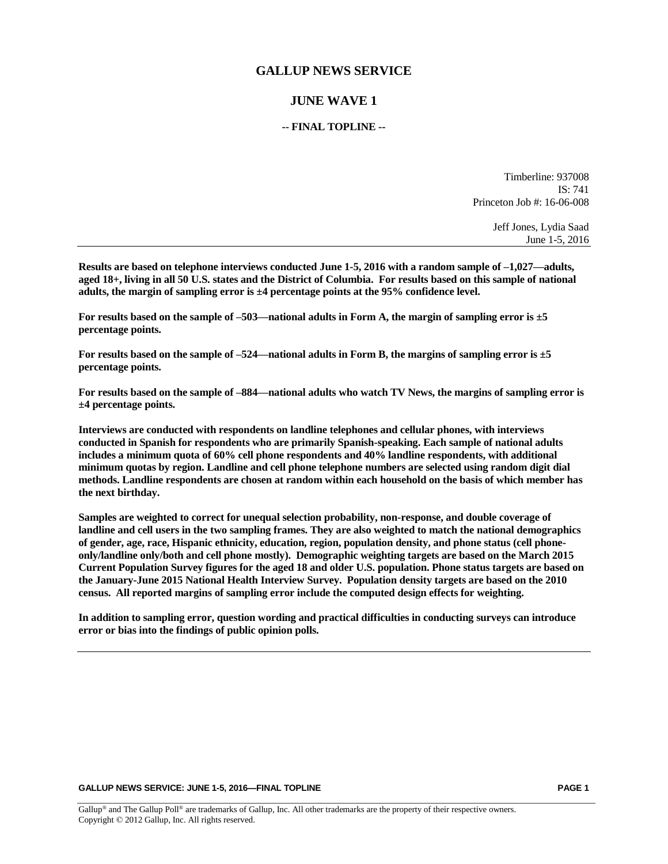### **GALLUP NEWS SERVICE**

# **JUNE WAVE 1**

#### **-- FINAL TOPLINE --**

Timberline: 937008  $IS: 741$ Princeton Job #: 16-06-008

> Jeff Jones, Lydia Saad June 1-5, 2016

**Results are based on telephone interviews conducted June 1-5, 2016 with a random sample of –1,027—adults, aged 18+, living in all 50 U.S. states and the District of Columbia. For results based on this sample of national adults, the margin of sampling error is ±4 percentage points at the 95% confidence level.** 

**For results based on the sample of –503—national adults in Form A, the margin of sampling error is ±5 percentage points.**

**For results based on the sample of –524—national adults in Form B, the margins of sampling error is ±5 percentage points.**

**For results based on the sample of –884—national adults who watch TV News, the margins of sampling error is ±4 percentage points.**

**Interviews are conducted with respondents on landline telephones and cellular phones, with interviews conducted in Spanish for respondents who are primarily Spanish-speaking. Each sample of national adults includes a minimum quota of 60% cell phone respondents and 40% landline respondents, with additional minimum quotas by region. Landline and cell phone telephone numbers are selected using random digit dial methods. Landline respondents are chosen at random within each household on the basis of which member has the next birthday.**

**Samples are weighted to correct for unequal selection probability, non-response, and double coverage of landline and cell users in the two sampling frames. They are also weighted to match the national demographics of gender, age, race, Hispanic ethnicity, education, region, population density, and phone status (cell phoneonly/landline only/both and cell phone mostly). Demographic weighting targets are based on the March 2015 Current Population Survey figures for the aged 18 and older U.S. population. Phone status targets are based on the January-June 2015 National Health Interview Survey. Population density targets are based on the 2010 census. All reported margins of sampling error include the computed design effects for weighting.** 

**In addition to sampling error, question wording and practical difficulties in conducting surveys can introduce error or bias into the findings of public opinion polls.**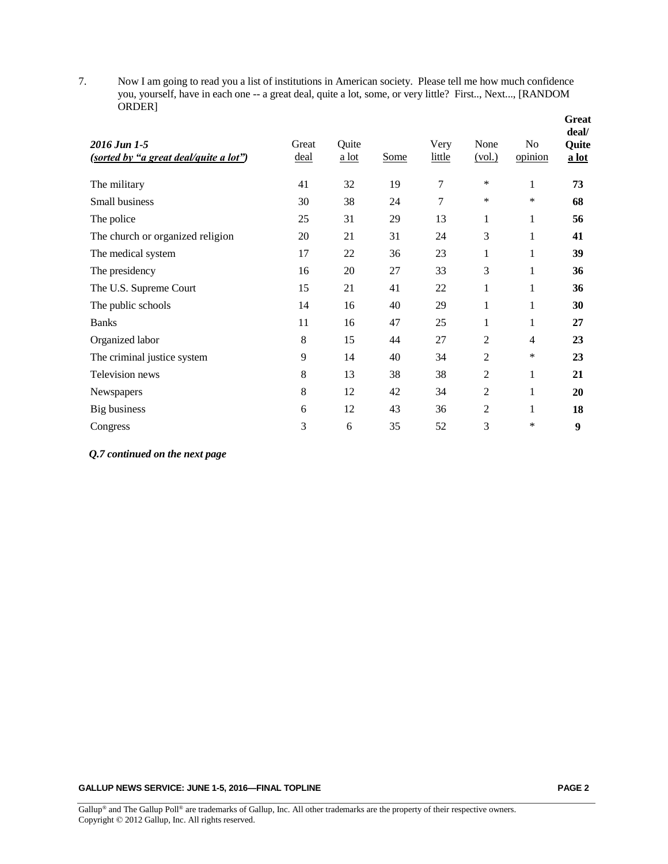7. Now I am going to read you a list of institutions in American society. Please tell me how much confidence you, yourself, have in each one -- a great deal, quite a lot, some, or very little? First.., Next..., [RANDOM ORDER]

| 2016 Jun 1-5<br>(sorted by "a great deal/quite a lot") | Great<br>deal | Quite<br>$a$ lot | Some | Very<br>little | None<br>(vol.) | N <sub>o</sub><br>opinion | <b>Great</b><br>deal/<br>Quite<br>a lot |
|--------------------------------------------------------|---------------|------------------|------|----------------|----------------|---------------------------|-----------------------------------------|
| The military                                           | 41            | 32               | 19   | $\tau$         | *              | $\mathbf{1}$              | 73                                      |
| Small business                                         | 30            | 38               | 24   | 7              | $\ast$         | *                         | 68                                      |
| The police                                             | 25            | 31               | 29   | 13             | 1              | $\mathbf{1}$              | 56                                      |
| The church or organized religion                       | 20            | 21               | 31   | 24             | 3              | 1                         | 41                                      |
| The medical system                                     | 17            | 22               | 36   | 23             | 1              | 1                         | 39                                      |
| The presidency                                         | 16            | 20               | 27   | 33             | 3              | 1                         | 36                                      |
| The U.S. Supreme Court                                 | 15            | 21               | 41   | 22             | 1              | 1                         | 36                                      |
| The public schools                                     | 14            | 16               | 40   | 29             | 1              | 1                         | 30                                      |
| <b>Banks</b>                                           | 11            | 16               | 47   | 25             | 1              | 1                         | 27                                      |
| Organized labor                                        | 8             | 15               | 44   | 27             | 2              | $\overline{4}$            | 23                                      |
| The criminal justice system                            | 9             | 14               | 40   | 34             | 2              | $\ast$                    | 23                                      |
| Television news                                        | 8             | 13               | 38   | 38             | 2              | 1                         | 21                                      |
| Newspapers                                             | 8             | 12               | 42   | 34             | 2              | 1                         | 20                                      |
| Big business                                           | 6             | 12               | 43   | 36             | 2              | 1                         | 18                                      |
| Congress                                               | 3             | 6                | 35   | 52             | 3              | *                         | 9                                       |

*Q.7 continued on the next page*

**GALLUP NEWS SERVICE: JUNE 1-5, 2016—FINAL TOPLINE PAGE 2**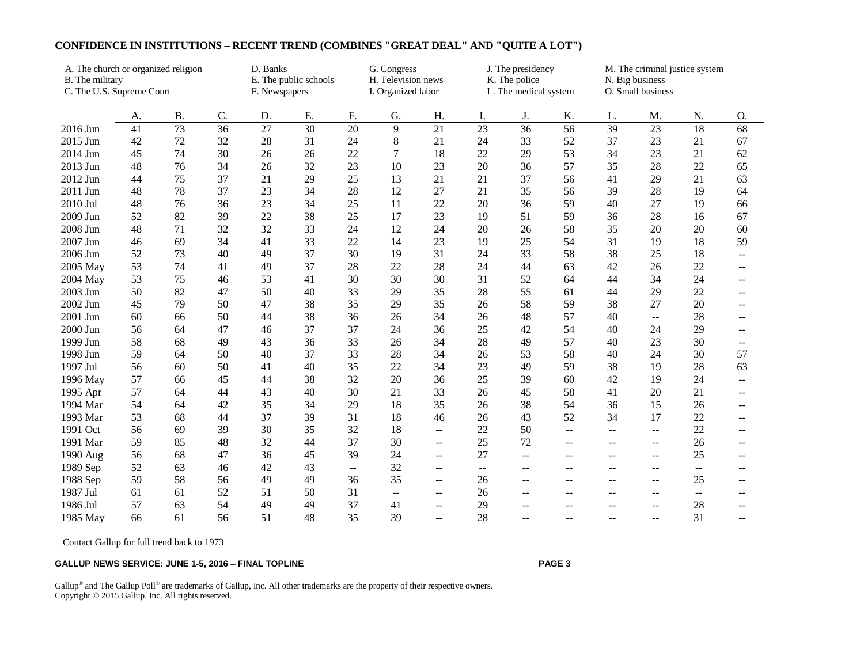| A. The church or organized religion          |    |                                        |    | D. Banks<br>G. Congress |                                          |    |                                        | J. The presidency        |                          |                          |                | M. The criminal justice system |                          |       |                          |  |
|----------------------------------------------|----|----------------------------------------|----|-------------------------|------------------------------------------|----|----------------------------------------|--------------------------|--------------------------|--------------------------|----------------|--------------------------------|--------------------------|-------|--------------------------|--|
| B. The military<br>C. The U.S. Supreme Court |    | E. The public schools<br>F. Newspapers |    |                         | H. Television news<br>I. Organized labor |    | K. The police<br>L. The medical system |                          |                          | N. Big business          |                |                                |                          |       |                          |  |
|                                              |    |                                        |    |                         |                                          |    |                                        |                          |                          | O. Small business        |                |                                |                          |       |                          |  |
|                                              | A. | <b>B.</b>                              | C. | D.                      | E.                                       | F. | G.                                     | H.                       | I.                       | J.                       | K.             | L.                             | M.                       | N.    | O.                       |  |
| 2016 Jun                                     | 41 | $\overline{73}$                        | 36 | $\overline{27}$         | $\overline{30}$                          | 20 | 9                                      | $\overline{21}$          | $\overline{23}$          | 36                       | 56             | 39                             | 23                       | 18    | 68                       |  |
| 2015 Jun                                     | 42 | 72                                     | 32 | 28                      | 31                                       | 24 | 8                                      | 21                       | 24                       | 33                       | 52             | 37                             | 23                       | 21    | 67                       |  |
| 2014 Jun                                     | 45 | 74                                     | 30 | 26                      | 26                                       | 22 | $\overline{7}$                         | 18                       | 22                       | 29                       | 53             | 34                             | 23                       | 21    | 62                       |  |
| 2013 Jun                                     | 48 | 76                                     | 34 | 26                      | 32                                       | 23 | 10                                     | 23                       | 20                       | 36                       | 57             | 35                             | 28                       | 22    | 65                       |  |
| 2012 Jun                                     | 44 | 75                                     | 37 | 21                      | 29                                       | 25 | 13                                     | 21                       | 21                       | 37                       | 56             | 41                             | 29                       | 21    | 63                       |  |
| 2011 Jun                                     | 48 | 78                                     | 37 | 23                      | 34                                       | 28 | 12                                     | 27                       | 21                       | 35                       | 56             | 39                             | 28                       | 19    | 64                       |  |
| 2010 Jul                                     | 48 | 76                                     | 36 | 23                      | 34                                       | 25 | 11                                     | 22                       | 20                       | 36                       | 59             | 40                             | 27                       | 19    | 66                       |  |
| 2009 Jun                                     | 52 | 82                                     | 39 | 22                      | 38                                       | 25 | 17                                     | 23                       | 19                       | 51                       | 59             | 36                             | 28                       | 16    | 67                       |  |
| 2008 Jun                                     | 48 | 71                                     | 32 | 32                      | 33                                       | 24 | 12                                     | 24                       | 20                       | 26                       | 58             | 35                             | 20                       | 20    | 60                       |  |
| 2007 Jun                                     | 46 | 69                                     | 34 | 41                      | 33                                       | 22 | 14                                     | 23                       | 19                       | 25                       | 54             | 31                             | 19                       | 18    | 59                       |  |
| 2006 Jun                                     | 52 | 73                                     | 40 | 49                      | 37                                       | 30 | 19                                     | 31                       | 24                       | 33                       | 58             | 38                             | 25                       | 18    | $\overline{\phantom{a}}$ |  |
| 2005 May                                     | 53 | 74                                     | 41 | 49                      | 37                                       | 28 | 22                                     | 28                       | 24                       | 44                       | 63             | 42                             | 26                       | 22    | $- -$                    |  |
| 2004 May                                     | 53 | 75                                     | 46 | 53                      | 41                                       | 30 | 30                                     | 30                       | 31                       | 52                       | 64             | 44                             | 34                       | 24    | $- -$                    |  |
| 2003 Jun                                     | 50 | 82                                     | 47 | 50                      | 40                                       | 33 | 29                                     | 35                       | 28                       | 55                       | 61             | 44                             | 29                       | 22    | $- -$                    |  |
| 2002 Jun                                     | 45 | 79                                     | 50 | 47                      | 38                                       | 35 | 29                                     | 35                       | 26                       | 58                       | 59             | 38                             | 27                       | 20    | $\qquad \qquad -$        |  |
| 2001 Jun                                     | 60 | 66                                     | 50 | 44                      | 38                                       | 36 | 26                                     | 34                       | 26                       | 48                       | 57             | 40                             | $- -$                    | 28    |                          |  |
| 2000 Jun                                     | 56 | 64                                     | 47 | 46                      | 37                                       | 37 | 24                                     | 36                       | 25                       | 42                       | 54             | 40                             | 24                       | 29    | $- -$                    |  |
| 1999 Jun                                     | 58 | 68                                     | 49 | 43                      | 36                                       | 33 | 26                                     | 34                       | 28                       | 49                       | 57             | 40                             | 23                       | 30    | $- -$                    |  |
| 1998 Jun                                     | 59 | 64                                     | 50 | 40                      | 37                                       | 33 | 28                                     | 34                       | 26                       | 53                       | 58             | 40                             | 24                       | 30    | 57                       |  |
| 1997 Jul                                     | 56 | 60                                     | 50 | 41                      | 40                                       | 35 | 22                                     | 34                       | 23                       | 49                       | 59             | 38                             | 19                       | 28    | 63                       |  |
| 1996 May                                     | 57 | 66                                     | 45 | 44                      | 38                                       | 32 | 20                                     | 36                       | 25                       | 39                       | 60             | 42                             | 19                       | 24    | --                       |  |
| 1995 Apr                                     | 57 | 64                                     | 44 | 43                      | 40                                       | 30 | 21                                     | 33                       | 26                       | 45                       | 58             | 41                             | 20                       | 21    | --                       |  |
| 1994 Mar                                     | 54 | 64                                     | 42 | 35                      | 34                                       | 29 | 18                                     | 35                       | 26                       | 38                       | 54             | 36                             | 15                       | 26    | --                       |  |
| 1993 Mar                                     | 53 | 68                                     | 44 | 37                      | 39                                       | 31 | 18                                     | 46                       | 26                       | 43                       | 52             | 34                             | 17                       | 22    | --                       |  |
| 1991 Oct                                     | 56 | 69                                     | 39 | 30                      | 35                                       | 32 | 18                                     | $\mathbf{u}$             | 22                       | 50                       | $\overline{a}$ | $\overline{\phantom{a}}$       | $\overline{\phantom{a}}$ | 22    | $-$                      |  |
| 1991 Mar                                     | 59 | 85                                     | 48 | 32                      | 44                                       | 37 | 30                                     | $ -$                     | 25                       | 72                       | $-$            | $-$                            | $\overline{\phantom{a}}$ | 26    | $- -$                    |  |
| 1990 Aug                                     | 56 | 68                                     | 47 | 36                      | 45                                       | 39 | 24                                     | $\overline{\phantom{m}}$ | 27                       | $-$                      | $-$            | $-$                            | $\overline{\phantom{m}}$ | 25    | --                       |  |
| 1989 Sep                                     | 52 | 63                                     | 46 | 42                      | 43                                       | -- | 32                                     | $\overline{\phantom{m}}$ | $\overline{\phantom{a}}$ | $\overline{\phantom{m}}$ | --             | $\overline{\phantom{m}}$       | $- -$                    | $- -$ | --                       |  |
| 1988 Sep                                     | 59 | 58                                     | 56 | 49                      | 49                                       | 36 | 35                                     | $\overline{\phantom{m}}$ | 26                       | $\mathbf{u}$             | $-$            | $-$                            | --                       | 25    | --                       |  |
| 1987 Jul                                     | 61 | 61                                     | 52 | 51                      | 50                                       | 31 | $-$                                    | --                       | 26                       | $\mathbf{u}$             | $-$            | $-$                            | --                       | --    |                          |  |
| 1986 Jul                                     | 57 | 63                                     | 54 | 49                      | 49                                       | 37 | 41                                     | $\overline{\phantom{m}}$ | 29                       | $-$                      | $-$            | $-$                            | $-$                      | 28    | $\qquad \qquad -$        |  |
| 1985 May                                     | 66 | 61                                     | 56 | 51                      | 48                                       | 35 | 39                                     | $\mathbf{u}$             | 28                       | $\sim$                   | $-$            | $\sim$                         | $\overline{\phantom{a}}$ | 31    | $\overline{\phantom{a}}$ |  |

## **CONFIDENCE IN INSTITUTIONS – RECENT TREND (COMBINES "GREAT DEAL" AND "QUITE A LOT")**

Contact Gallup for full trend back to 1973

#### **GALLUP NEWS SERVICE: JUNE 1-5, 2016 – FINAL TOPLINE PAGE 3**

Gallup<sup>®</sup> and The Gallup Poll<sup>®</sup> are trademarks of Gallup, Inc. All other trademarks are the property of their respective owners. Copyright © 2015 Gallup, Inc. All rights reserved.